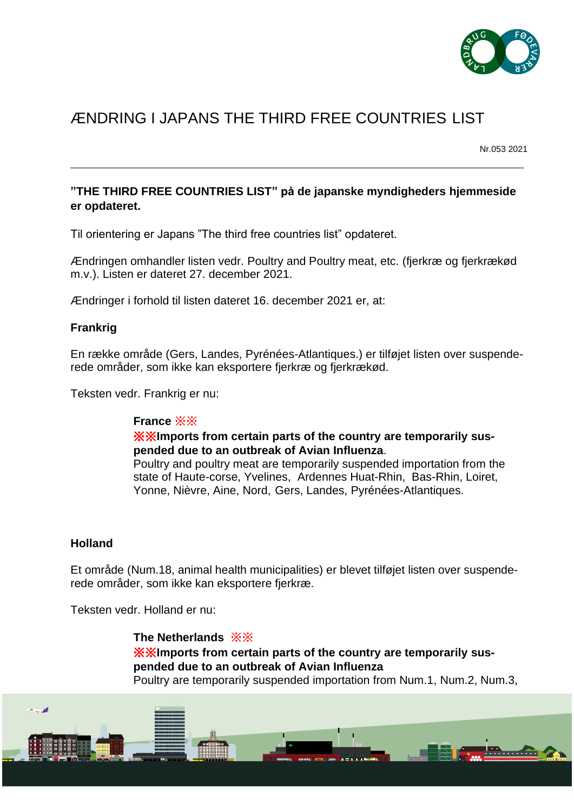

# ÆNDRING I JAPANS THE THIRD FREE COUNTRIES LIST

Nr.053 2021

## **"THE THIRD FREE COUNTRIES LIST" på de japanske myndigheders hjemmeside er opdateret.**

\_\_\_\_\_\_\_\_\_\_\_\_\_\_\_\_\_\_\_\_\_\_\_\_\_\_\_\_\_\_\_\_\_\_\_\_\_\_\_\_\_\_\_\_\_\_\_\_\_\_\_\_\_\_\_\_\_\_\_\_\_\_\_\_\_\_\_\_\_\_\_\_\_\_\_\_\_\_\_\_\_\_\_\_\_\_\_\_\_\_\_\_\_\_

Til orientering er Japans "The third free countries list" opdateret.

Ændringen omhandler listen vedr. Poultry and Poultry meat, etc. (fjerkræ og fjerkrækød m.v.). Listen er dateret 27. december 2021.

Ændringer i forhold til listen dateret 16. december 2021 er, at:

#### **Frankrig**

En række område (Gers, Landes, Pyrénées-Atlantiques.) er tilføjet listen over suspenderede områder, som ikke kan eksportere fjerkræ og fjerkrækød.

Teksten vedr. Frankrig er nu:

#### **France** ※※

※※**Imports from certain parts of the country are temporarily suspended due to an outbreak of Avian Influenza**.

Poultry and poultry meat are temporarily suspended importation from the state of Haute-corse, Yvelines, Ardennes Huat-Rhin, Bas-Rhin, Loiret, Yonne, Nièvre, Aine, Nord, Gers, Landes, Pyrénées-Atlantiques.

#### **Holland**

Et område (Num.18, animal health municipalities) er blevet tilføjet listen over suspenderede områder, som ikke kan eksportere fjerkræ.

Teksten vedr. Holland er nu:

**The Netherlands** ※※ ※※**Imports from certain parts of the country are temporarily suspended due to an outbreak of Avian Influenza** Poultry are temporarily suspended importation from Num.1, Num.2, Num.3,